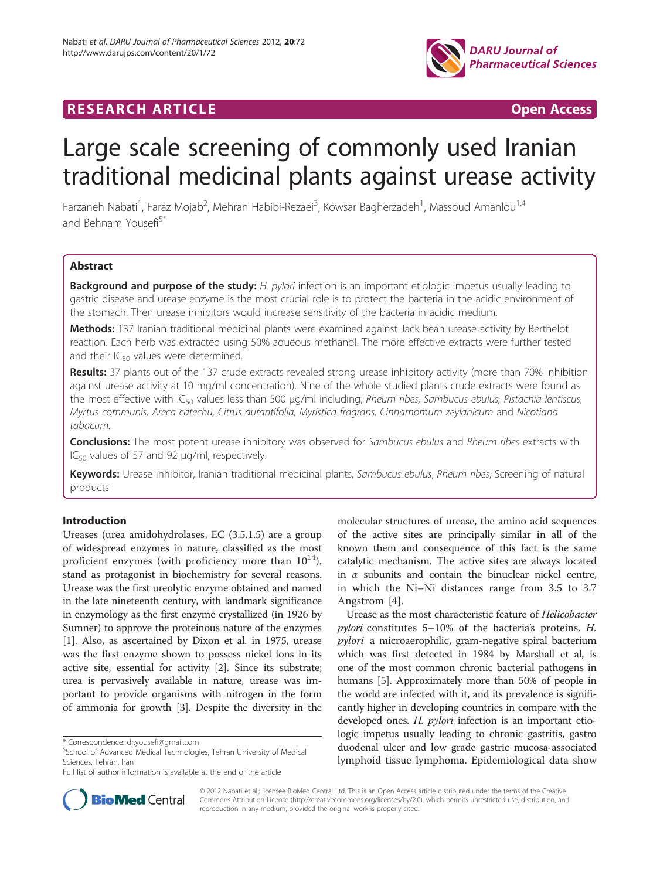

# **RESEARCH ARTICLE CONSIDERING A RESEARCH ARTICLE**

# Large scale screening of commonly used Iranian traditional medicinal plants against urease activity

Farzaneh Nabati<sup>1</sup>, Faraz Mojab<sup>2</sup>, Mehran Habibi-Rezaei<sup>3</sup>, Kowsar Bagherzadeh<sup>1</sup>, Massoud Amanlou<sup>1,4</sup> and Behnam Yousefi<sup>5\*</sup>

# Abstract

**Background and purpose of the study:** H. pylori infection is an important etiologic impetus usually leading to gastric disease and urease enzyme is the most crucial role is to protect the bacteria in the acidic environment of the stomach. Then urease inhibitors would increase sensitivity of the bacteria in acidic medium.

Methods: 137 Iranian traditional medicinal plants were examined against Jack bean urease activity by Berthelot reaction. Each herb was extracted using 50% aqueous methanol. The more effective extracts were further tested and their  $IC_{50}$  values were determined.

Results: 37 plants out of the 137 crude extracts revealed strong urease inhibitory activity (more than 70% inhibition against urease activity at 10 mg/ml concentration). Nine of the whole studied plants crude extracts were found as the most effective with IC<sub>50</sub> values less than 500 μg/ml including; Rheum ribes, Sambucus ebulus, Pistachia lentiscus, Myrtus communis, Areca catechu, Citrus aurantifolia, Myristica fragrans, Cinnamomum zeylanicum and Nicotiana tabacum.

**Conclusions:** The most potent urease inhibitory was observed for Sambucus ebulus and Rheum ribes extracts with IC<sub>50</sub> values of 57 and 92 μg/ml, respectively.

Keywords: Urease inhibitor, Iranian traditional medicinal plants, Sambucus ebulus, Rheum ribes, Screening of natural products

# Introduction

Ureases (urea amidohydrolases, EC (3.5.1.5) are a group of widespread enzymes in nature, classified as the most proficient enzymes (with proficiency more than  $10^{14}$ ), stand as protagonist in biochemistry for several reasons. Urease was the first ureolytic enzyme obtained and named in the late nineteenth century, with landmark significance in enzymology as the first enzyme crystallized (in 1926 by Sumner) to approve the proteinous nature of the enzymes [[1\]](#page-7-0). Also, as ascertained by Dixon et al. in 1975, urease was the first enzyme shown to possess nickel ions in its active site, essential for activity [[2\]](#page-7-0). Since its substrate; urea is pervasively available in nature, urease was important to provide organisms with nitrogen in the form of ammonia for growth [\[3](#page-7-0)]. Despite the diversity in the

molecular structures of urease, the amino acid sequences of the active sites are principally similar in all of the known them and consequence of this fact is the same catalytic mechanism. The active sites are always located in  $\alpha$  subunits and contain the binuclear nickel centre, in which the Ni–Ni distances range from 3.5 to 3.7 Angstrom [[4\]](#page-7-0).

Urease as the most characteristic feature of Helicobacter pylori constitutes 5–10% of the bacteria's proteins. H. pylori a microaerophilic, gram-negative spiral bacterium which was first detected in 1984 by Marshall et al, is one of the most common chronic bacterial pathogens in humans [[5](#page-7-0)]. Approximately more than 50% of people in the world are infected with it, and its prevalence is significantly higher in developing countries in compare with the developed ones. H. pylori infection is an important etiologic impetus usually leading to chronic gastritis, gastro duodenal ulcer and low grade gastric mucosa-associated lymphoid tissue lymphoma. Epidemiological data show



© 2012 Nabati et al.; licensee BioMed Central Ltd. This is an Open Access article distributed under the terms of the Creative Commons Attribution License [\(http://creativecommons.org/licenses/by/2.0\)](http://creativecommons.org/licenses/by/2.0), which permits unrestricted use, distribution, and reproduction in any medium, provided the original work is properly cited.

<sup>\*</sup> Correspondence: [dr.yousefi@gmail.com](mailto:dr.yousefi@gmail.com) <sup>5</sup>

<sup>&</sup>lt;sup>5</sup>School of Advanced Medical Technologies, Tehran University of Medical Sciences, Tehran, Iran

Full list of author information is available at the end of the article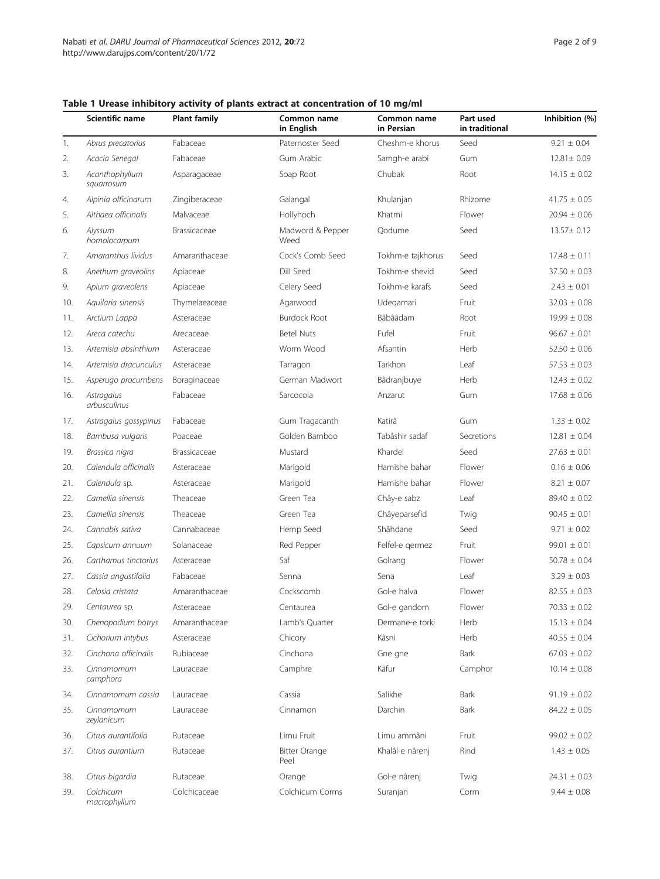|     | Scientific name              | <b>Plant family</b> | Common name<br>in English    | Common name<br>in Persian | Part used<br>in traditional | Inhibition (%)   |
|-----|------------------------------|---------------------|------------------------------|---------------------------|-----------------------------|------------------|
| 1.  | Abrus precatorius            | Fabaceae            | Paternoster Seed             | Cheshm-e khorus           | Seed                        | $9.21 \pm 0.04$  |
| 2.  | Acacia Senegal               | Fabaceae            | Gum Arabic                   | Samgh-e arabi             | Gum                         | 12.81± 0.09      |
| 3.  | Acanthophyllum<br>squarrosum | Asparagaceae        | Soap Root                    | Chubak                    | Root                        | $14.15 \pm 0.02$ |
| 4.  | Alpinia officinarum          | Zingiberaceae       | Galangal                     | Khulanjan                 | Rhizome                     | $41.75 \pm 0.05$ |
| 5.  | Althaea officinalis          | Malvaceae           | Hollyhoch                    | Khatmi                    | Flower                      | $20.94 \pm 0.06$ |
| 6.  | Alyssum<br>homolocarpum      | Brassicaceae        | Madword & Pepper<br>Weed     | Qodume                    | Seed                        | 13.57± 0.12      |
| 7.  | Amaranthus lividus           | Amaranthaceae       | Cock's Comb Seed             | Tokhm-e tajkhorus         | Seed                        | $17.48 \pm 0.11$ |
| 8.  | Anethum graveolins           | Apiaceae            | Dill Seed                    | Tokhm-e shevid            | Seed                        | $37.50 \pm 0.03$ |
| 9.  | Apium graveolens             | Apiaceae            | Celery Seed                  | Tokhm-e karafs            | Seed                        | $2.43 \pm 0.01$  |
| 10. | Aquilaria sinensis           | Thymelaeaceae       | Agarwood                     | Udegamari                 | Fruit                       | $32.03 \pm 0.08$ |
| 11. | Arctium Lappa                | Asteraceae          | <b>Burdock Root</b>          | Bâbââdam                  | Root                        | $19.99 \pm 0.08$ |
| 12. | Areca catechu                | Arecaceae           | <b>Betel Nuts</b>            | Fufel                     | Fruit                       | $96.67 \pm 0.01$ |
| 13. | Artemisia absinthium         | Asteraceae          | Worm Wood                    | Afsantin                  | Herb                        | $52.50 \pm 0.06$ |
| 14. | Artemisia dracunculus        | Asteraceae          | Tarragon                     | Tarkhon                   | Leaf                        | $57.53 \pm 0.03$ |
| 15. | Asperugo procumbens          | Boraginaceae        | German Madwort               | Bâdranjbuye               | Herb                        | $12.43 \pm 0.02$ |
| 16. | Astragalus<br>arbusculinus   | Fabaceae            | Sarcocola                    | Anzarut                   | Gum                         | $17.68 \pm 0.06$ |
| 17. | Astragalus gossypinus        | Fabaceae            | Gum Tragacanth               | Katirâ                    | Gum                         | $1.33 \pm 0.02$  |
| 18. | Bambusa vulgaris             | Poaceae             | Golden Bamboo                | Tabâshir sadaf            | Secretions                  | $12.81 \pm 0.04$ |
| 19. | Brassica nigra               | Brassicaceae        | Mustard                      | Khardel                   | Seed                        | $27.63 \pm 0.01$ |
| 20. | Calendula officinalis        | Asteraceae          | Marigold                     | Hamishe bahar             | Flower                      | $0.16 \pm 0.06$  |
| 21. | Calendula sp.                | Asteraceae          | Marigold                     | Hamishe bahar             | Flower                      | $8.21 \pm 0.07$  |
| 22. | Camellia sinensis            | Theaceae            | Green Tea                    | Chây-e sabz               | Leaf                        | $89.40 \pm 0.02$ |
| 23. | Camellia sinensis            | Theaceae            | Green Tea                    | Châyeparsefid             | Twig                        | $90.45 \pm 0.01$ |
| 24. | Cannabis sativa              | Cannabaceae         | Hemp Seed                    | Shâhdane                  | Seed                        | $9.71 \pm 0.02$  |
| 25. | Capsicum annuum              | Solanaceae          | Red Pepper                   | Felfel-e germez           | Fruit                       | $99.01 \pm 0.01$ |
| 26. | Carthamus tinctorius         | Asteraceae          | Saf                          | Golrang                   | Flower                      | $50.78 \pm 0.04$ |
| 27. | Cassia angustifolia          | Fabaceae            | Senna                        | Sena                      | Leaf                        | $3.29 \pm 0.03$  |
| 28. | Celosia cristata             | Amaranthaceae       | Cockscomb                    | Gol-e halva               | Flower                      | $82.55 \pm 0.03$ |
| 29. | Centaurea sp.                | Asteraceae          | Centaurea                    | Gol-e gandom              | Flower                      | $70.33 \pm 0.02$ |
| 30. | Chenopodium botrys           | Amaranthaceae       | Lamb's Quarter               | Dermane-e torki           | Herb                        | $15.13 \pm 0.04$ |
| 31. | Cichorium intybus            | Asteraceae          | Chicory                      | Kâsni                     | Herb                        | $40.55 \pm 0.04$ |
| 32. | Cinchona officinalis         | Rubiaceae           | Cinchona                     | Gne gne                   | Bark                        | $67.03 \pm 0.02$ |
| 33. | Cinnamomum<br>camphora       | Lauraceae           | Camphre                      | Kâfur                     | Camphor                     | $10.14 \pm 0.08$ |
| 34. | Cinnamomum cassia            | Lauraceae           | Cassia                       | Salikhe                   | Bark                        | $91.19 \pm 0.02$ |
| 35. | Cinnamomum<br>zeylanicum     | Lauraceae           | Cinnamon                     | Darchin                   | Bark                        | $84.22 \pm 0.05$ |
| 36. | Citrus aurantifolia          | Rutaceae            | Limu Fruit                   | Limu ammâni               | Fruit                       | $99.02 \pm 0.02$ |
| 37. | Citrus aurantium             | Rutaceae            | <b>Bitter Orange</b><br>Peel | Khalâl-e nârenj           | Rind                        | $1.43 \pm 0.05$  |
| 38. | Citrus bigardia              | Rutaceae            | Orange                       | Gol-e nârenj              | Twig                        | $24.31 \pm 0.03$ |
| 39. | Colchicum<br>macrophyllum    | Colchicaceae        | Colchicum Corms              | Suranjan                  | Corm                        | $9.44 \pm 0.08$  |

## <span id="page-1-0"></span>Table 1 Urease inhibitory activity of plants extract at concentration of 10 mg/ml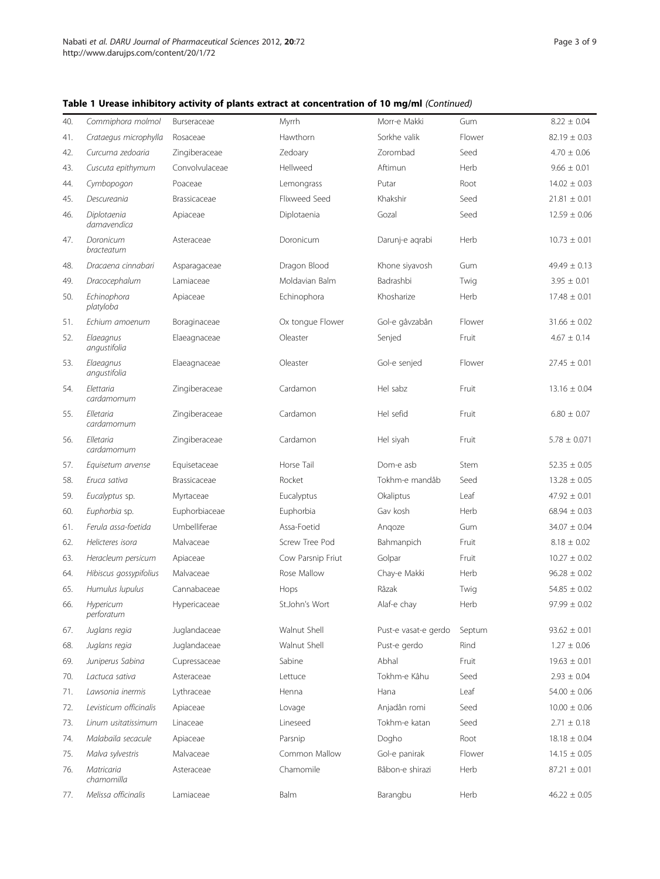| Table 1 Urease inhibitory activity of plants extract at concentration of 10 mg/ml (Continued) |  |
|-----------------------------------------------------------------------------------------------|--|
|-----------------------------------------------------------------------------------------------|--|

| 40. | Commiphora molmol          | Burseraceae    | Myrrh             | Morr-e Makki         | Gum    | $8.22 \pm 0.04$  |
|-----|----------------------------|----------------|-------------------|----------------------|--------|------------------|
| 41. | Crataegus microphylla      | Rosaceae       | Hawthorn          | Sorkhe valik         | Flower | $82.19 \pm 0.03$ |
| 42. | Curcuma zedoaria           | Zingiberaceae  | Zedoary           | Zorombad             | Seed   | $4.70 \pm 0.06$  |
| 43. | Cuscuta epithymum          | Convolvulaceae | Hellweed          | Aftimun              | Herb   | $9.66 \pm 0.01$  |
| 44. | Cymbopogon                 | Poaceae        | Lemongrass        | Putar                | Root   | $14.02 \pm 0.03$ |
| 45. | Descureania                | Brassicaceae   | Flixweed Seed     | Khakshir             | Seed   | $21.81 \pm 0.01$ |
| 46. | Diplotaenia<br>damavendica | Apiaceae       | Diplotaenia       | Gozal                | Seed   | $12.59 \pm 0.06$ |
| 47. | Doronicum<br>bracteatum    | Asteraceae     | Doronicum         | Darunj-e agrabi      | Herb   | $10.73 \pm 0.01$ |
| 48. | Dracaena cinnabari         | Asparagaceae   | Dragon Blood      | Khone siyavosh       | Gum    | $49.49 \pm 0.13$ |
| 49. | Dracocephalum              | Lamiaceae      | Moldavian Balm    | Badrashbi            | Twig   | $3.95 \pm 0.01$  |
| 50. | Echinophora<br>platyloba   | Apiaceae       | Echinophora       | Khosharize           | Herb   | $17.48 \pm 0.01$ |
| 51. | Echium amoenum             | Boraginaceae   | Ox tongue Flower  | Gol-e gâvzabân       | Flower | $31.66 \pm 0.02$ |
| 52. | Elaeagnus<br>angustifolia  | Elaeagnaceae   | Oleaster          | Senjed               | Fruit  | $4.67 \pm 0.14$  |
| 53. | Elaeagnus<br>angustifolia  | Elaeagnaceae   | Oleaster          | Gol-e senjed         | Flower | $27.45 \pm 0.01$ |
| 54. | Elettaria<br>cardamomum    | Zingiberaceae  | Cardamon          | Hel sabz             | Fruit  | $13.16 \pm 0.04$ |
| 55. | Elletaria<br>cardamomum    | Zingiberaceae  | Cardamon          | Hel sefid            | Fruit  | $6.80 \pm 0.07$  |
| 56. | Elletaria<br>cardamomum    | Zingiberaceae  | Cardamon          | Hel siyah            | Fruit  | $5.78 \pm 0.071$ |
| 57. | Equisetum arvense          | Equisetaceae   | Horse Tail        | Dom-e asb            | Stem   | $52.35 \pm 0.05$ |
| 58. | Eruca sativa               | Brassicaceae   | Rocket            | Tokhm-e mandâb       | Seed   | $13.28 \pm 0.05$ |
| 59. | Eucalyptus sp.             | Myrtaceae      | Eucalyptus        | Okaliptus            | Leaf   | $47.92 \pm 0.01$ |
| 60. | Euphorbia sp.              | Euphorbiaceae  | Euphorbia         | Gav kosh             | Herb   | $68.94 \pm 0.03$ |
| 61. | Ferula assa-foetida        | Umbelliferae   | Assa-Foetid       | Angoze               | Gum    | $34.07 \pm 0.04$ |
| 62. | Helicteres isora           | Malvaceae      | Screw Tree Pod    | Bahmanpich           | Fruit  | $8.18 \pm 0.02$  |
| 63. | Heracleum persicum         | Apiaceae       | Cow Parsnip Friut | Golpar               | Fruit  | $10.27 \pm 0.02$ |
| 64. | Hibiscus gossypifolius     | Malvaceae      | Rose Mallow       | Chay-e Makki         | Herb   | $96.28 \pm 0.02$ |
| 65. | Humulus lupulus            | Cannabaceae    | Hops              | Râzak                | Twig   | $54.85 \pm 0.02$ |
| 66. | Hypericum<br>perforatum    | Hypericaceae   | St.John's Wort    | Alaf-e chay          | Herb   | $97.99 \pm 0.02$ |
| 67. | Juglans regia              | Juglandaceae   | Walnut Shell      | Pust-e vasat-e gerdo | Septum | $93.62 \pm 0.01$ |
| 68. | Juglans regia              | Juglandaceae   | Walnut Shell      | Pust-e gerdo         | Rind   | $1.27 \pm 0.06$  |
| 69. | Juniperus Sabina           | Cupressaceae   | Sabine            | Abhal                | Fruit  | $19.63 \pm 0.01$ |
| 70. | Lactuca sativa             | Asteraceae     | Lettuce           | Tokhm-e Kâhu         | Seed   | $2.93 \pm 0.04$  |
| 71. | Lawsonia inermis           | Lythraceae     | Henna             | Hana                 | Leaf   | $54.00 \pm 0.06$ |
| 72. | Levisticum officinalis     | Apiaceae       | Lovage            | Anjadân romi         | Seed   | $10.00 \pm 0.06$ |
| 73. | Linum usitatissimum        | Linaceae       | Lineseed          | Tokhm-e katan        | Seed   | $2.71 \pm 0.18$  |
| 74. | Malabaila secacule         | Apiaceae       | Parsnip           | Dogho                | Root   | $18.18 \pm 0.04$ |
| 75. | Malva sylvestris           | Malvaceae      | Common Mallow     | Gol-e panirak        | Flower | $14.15 \pm 0.05$ |
| 76. | Matricaria<br>chamomilla   | Asteraceae     | Chamomile         | Bâbon-e shirazi      | Herb   | $87.21 \pm 0.01$ |
| 77. | Melissa officinalis        | Lamiaceae      | Balm              | Barangbu             | Herb   | $46.22 \pm 0.05$ |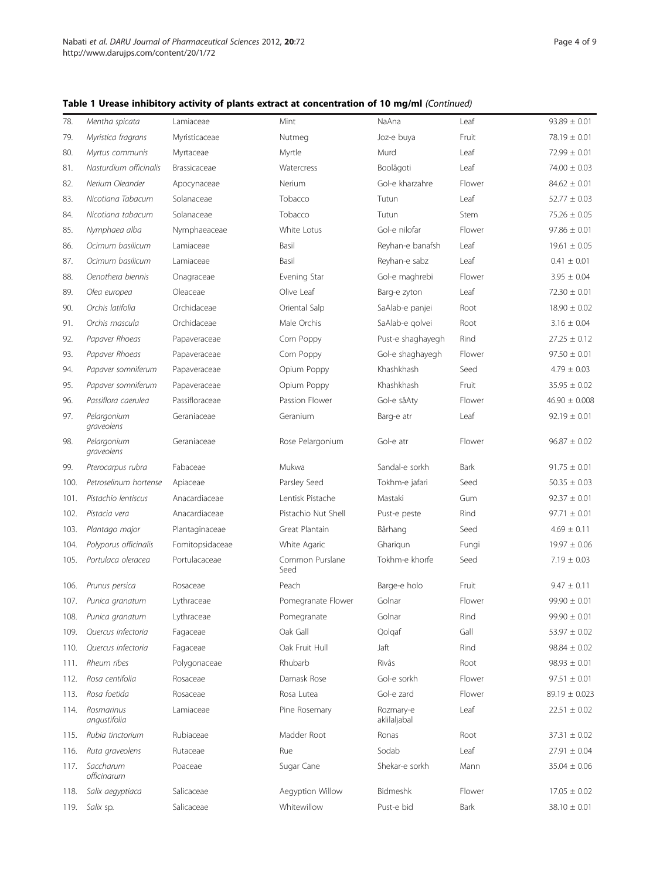|  |  |  | Table 1 Urease inhibitory activity of plants extract at concentration of 10 mg/ml (Continued) |  |  |
|--|--|--|-----------------------------------------------------------------------------------------------|--|--|
|--|--|--|-----------------------------------------------------------------------------------------------|--|--|

| 78.  | Mentha spicata             | Lamiaceae       | Mint                    | NaAna                     | Leaf        | $93.89 \pm 0.01$  |
|------|----------------------------|-----------------|-------------------------|---------------------------|-------------|-------------------|
| 79.  | Myristica fragrans         | Myristicaceae   | Nutmeg                  | Joz-e buya                | Fruit       | $78.19 \pm 0.01$  |
| 80.  | Myrtus communis            | Myrtaceae       | Myrtle                  | Murd                      | Leaf        | $72.99 \pm 0.01$  |
| 81.  | Nasturdium officinalis     | Brassicaceae    | Watercress              | Boolâgoti                 | Leaf        | $74.00 \pm 0.03$  |
| 82.  | Nerium Oleander            | Apocynaceae     | Nerium                  | Gol-e kharzahre           | Flower      | $84.62 \pm 0.01$  |
| 83.  | Nicotiana Tabacum          | Solanaceae      | Tobacco                 | Tutun                     | Leaf        | $52.77 \pm 0.03$  |
| 84.  | Nicotiana tabacum          | Solanaceae      | Tobacco                 | Tutun                     | Stem        | $75.26 \pm 0.05$  |
| 85.  | Nymphaea alba              | Nymphaeaceae    | White Lotus             | Gol-e nilofar             | Flower      | $97.86 \pm 0.01$  |
| 86.  | Ocimum basilicum           | Lamiaceae       | Basil                   | Reyhan-e banafsh          | Leaf        | $19.61 \pm 0.05$  |
| 87.  | Ocimum basilicum           | Lamiaceae       | Basil                   | Reyhan-e sabz             | Leaf        | $0.41 \pm 0.01$   |
| 88.  | Oenothera biennis          | Onagraceae      | Evening Star            | Gol-e maghrebi            | Flower      | $3.95 \pm 0.04$   |
| 89.  | Olea europea               | Oleaceae        | Olive Leaf              | Barg-e zyton              | Leaf        | $72.30 \pm 0.01$  |
| 90.  | Orchis latifolia           | Orchidaceae     | Oriental Salp           | SaAlab-e panjei           | Root        | $18.90 \pm 0.02$  |
| 91.  | Orchis mascula             | Orchidaceae     | Male Orchis             | SaAlab-e golvei           | Root        | $3.16 \pm 0.04$   |
| 92.  | Papaver Rhoeas             | Papaveraceae    | Corn Poppy              | Pust-e shaghayegh         | Rind        | $27.25 \pm 0.12$  |
| 93.  | Papaver Rhoeas             | Papaveraceae    | Corn Poppy              | Gol-e shaghayegh          | Flower      | $97.50 \pm 0.01$  |
| 94.  | Papaver somniferum         | Papaveraceae    | Opium Poppy             | Khashkhash                | Seed        | $4.79 \pm 0.03$   |
| 95.  | Papaver somniferum         | Papaveraceae    | Opium Poppy             | Khashkhash                | Fruit       | $35.95 \pm 0.02$  |
| 96.  | Passiflora caerulea        | Passifloraceae  | Passion Flower          | Gol-e sâAty               | Flower      | $46.90 \pm 0.008$ |
| 97.  | Pelargonium<br>graveolens  | Geraniaceae     | Geranium                | Barg-e atr                | Leaf        | $92.19 \pm 0.01$  |
| 98.  | Pelargonium<br>graveolens  | Geraniaceae     | Rose Pelargonium        | Gol-e atr                 | Flower      | $96.87 \pm 0.02$  |
| 99.  | Pterocarpus rubra          | Fabaceae        | Mukwa                   | Sandal-e sorkh            | <b>Bark</b> | $91.75 \pm 0.01$  |
| 100. | Petroselinum hortense      | Apiaceae        | Parsley Seed            | Tokhm-e jafari            | Seed        | $50.35 \pm 0.03$  |
| 101. | Pistachio lentiscus        | Anacardiaceae   | Lentisk Pistache        | Mastaki                   | Gum         | $92.37 \pm 0.01$  |
| 102. | Pistacia vera              | Anacardiaceae   | Pistachio Nut Shell     | Pust-e peste              | Rind        | $97.71 \pm 0.01$  |
| 103. | Plantago major             | Plantaginaceae  | Great Plantain          | Bârhang                   | Seed        | $4.69 \pm 0.11$   |
| 104. | Polyporus officinalis      | Fomitopsidaceae | White Agaric            | Gharigun                  | Fungi       | $19.97 \pm 0.06$  |
| 105. | Portulaca oleracea         | Portulacaceae   | Common Purslane<br>Seed | Tokhm-e khorfe            | Seed        | $7.19 \pm 0.03$   |
| 106. | Prunus persica             | Rosaceae        | Peach                   | Barge-e holo              | Fruit       | $9.47 \pm 0.11$   |
| 107. | Punica granatum            | Lythraceae      | Pomegranate Flower      | Golnar                    | Flower      | $99.90 \pm 0.01$  |
| 108. | Punica granatum            | Lythraceae      | Pomegranate             | Golnar                    | Rind        | $99.90 \pm 0.01$  |
| 109. | Quercus infectoria         | Fagaceae        | Oak Gall                | Qolgaf                    | Gall        | $53.97 \pm 0.02$  |
| 110. | Quercus infectoria         | Fagaceae        | Oak Fruit Hull          | Jaft                      | Rind        | $98.84 \pm 0.02$  |
| 111. | Rheum ribes                | Polygonaceae    | Rhubarb                 | Rivâs                     | Root        | $98.93 \pm 0.01$  |
| 112. | Rosa centifolia            | Rosaceae        | Damask Rose             | Gol-e sorkh               | Flower      | $97.51 \pm 0.01$  |
| 113. | Rosa foetida               | Rosaceae        | Rosa Lutea              | Gol-e zard                | Flower      | $89.19 \pm 0.023$ |
| 114. | Rosmarinus<br>angustifolia | Lamiaceae       | Pine Rosemary           | Rozmary-e<br>aklilaljabal | Leaf        | $22.51 \pm 0.02$  |
| 115. | Rubia tinctorium           | Rubiaceae       | Madder Root             | Ronas                     | Root        | $37.31 \pm 0.02$  |
| 116. | Ruta graveolens            | Rutaceae        | Rue                     | Sodab                     | Leaf        | $27.91 \pm 0.04$  |
| 117. | Saccharum<br>officinarum   | Poaceae         | Sugar Cane              | Shekar-e sorkh            | Mann        | $35.04 \pm 0.06$  |
| 118. | Salix aegyptiaca           | Salicaceae      | Aegyption Willow        | Bidmeshk                  | Flower      | $17.05 \pm 0.02$  |
| 119. | Salix sp.                  | Salicaceae      | Whitewillow             | Pust-e bid                | <b>Bark</b> | $38.10 \pm 0.01$  |
|      |                            |                 |                         |                           |             |                   |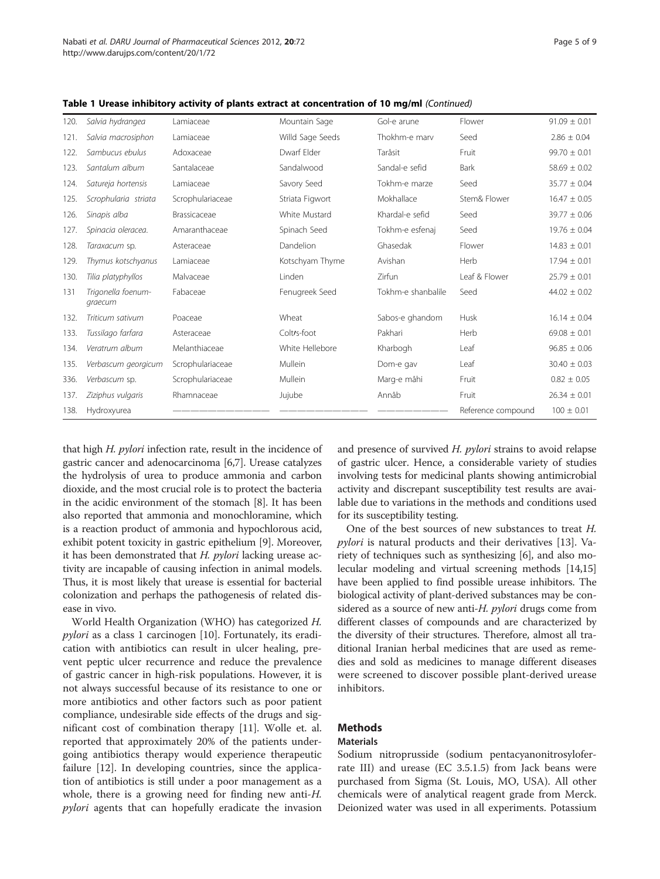| 120. | Salvia hydrangea              | Lamiaceae        | Mountain Sage           | Gol-e arune        | Flower             | $91.09 \pm 0.01$ |
|------|-------------------------------|------------------|-------------------------|--------------------|--------------------|------------------|
| 121. | Salvia macrosiphon            | Lamiaceae        | Willd Sage Seeds        | Thokhm-e marv      | Seed               | $2.86 \pm 0.04$  |
| 122. | Sambucus ebulus               | Adoxaceae        | Dwarf Elder             | Tarâsit            | Fruit              | $99.70 \pm 0.01$ |
| 123. | Santalum album                | Santalaceae      | Sandalwood              | Sandal-e sefid     | <b>Bark</b>        | $58.69 \pm 0.02$ |
| 124. | Satureja hortensis            | Lamiaceae        | Savory Seed             | Tokhm-e marze      | Seed               | $35.77 \pm 0.04$ |
| 125. | Scrophularia striata          | Scrophulariaceae | Striata Figwort         | Mokhallace         | Stem& Flower       | $16.47 \pm 0.05$ |
| 126. | Sinapis alba                  | Brassicaceae     | White Mustard           | Khardal-e sefid    | Seed               | $39.77 \pm 0.06$ |
| 127. | Spinacia oleracea.            | Amaranthaceae    | Spinach Seed            | Tokhm-e esfenaj    | Seed               | $19.76 \pm 0.04$ |
| 128. | Taraxacum sp.                 | Asteraceae       | Dandelion               | Ghasedak           | Flower             | $14.83 \pm 0.01$ |
| 129. | Thymus kotschyanus            | Lamiaceae        | Kotschyam Thyme         | Avishan            | Herb               | $17.94 \pm 0.01$ |
| 130. | Tilia platyphyllos            | Malvaceae        | Linden                  | Zirfun             | Leaf & Flower      | $25.79 \pm 0.01$ |
| 131  | Trigonella foenum-<br>graecum | Fabaceae         | Fenugreek Seed          | Tokhm-e shanbalile | Seed               | $44.02 \pm 0.02$ |
| 132. | Triticum sativum              | Poaceae          | Wheat                   | Sabos-e ghandom    | Husk               | $16.14 \pm 0.04$ |
| 133. | Tussilago farfara             | Asteraceae       | Colt <sub>/s-foot</sub> | Pakhari            | Herb               | $69.08 \pm 0.01$ |
| 134. | Veratrum album                | Melanthiaceae    | White Hellebore         | Kharbogh           | Leaf               | $96.85 \pm 0.06$ |
| 135. | Verbascum georgicum           | Scrophulariaceae | Mullein                 | Dom-e gav          | Leaf               | $30.40 \pm 0.03$ |
| 336. | Verbascum sp.                 | Scrophulariaceae | Mullein                 | Marg-e mâhi        | Fruit              | $0.82 \pm 0.05$  |
| 137. | Ziziphus vulgaris             | Rhamnaceae       | Jujube                  | Annâb              | Fruit              | $26.34 \pm 0.01$ |
| 138. | Hydroxyurea                   |                  |                         |                    | Reference compound | $100 \pm 0.01$   |

Table 1 Urease inhibitory activity of plants extract at concentration of 10 mg/ml (Continued)

that high H. pylori infection rate, result in the incidence of gastric cancer and adenocarcinoma [\[6,7\]](#page-7-0). Urease catalyzes the hydrolysis of urea to produce ammonia and carbon dioxide, and the most crucial role is to protect the bacteria in the acidic environment of the stomach [\[8\]](#page-7-0). It has been also reported that ammonia and monochloramine, which is a reaction product of ammonia and hypochlorous acid, exhibit potent toxicity in gastric epithelium [\[9\]](#page-7-0). Moreover, it has been demonstrated that  $H.$  pylori lacking urease activity are incapable of causing infection in animal models. Thus, it is most likely that urease is essential for bacterial colonization and perhaps the pathogenesis of related disease in vivo.

World Health Organization (WHO) has categorized H. pylori as a class 1 carcinogen [\[10](#page-7-0)]. Fortunately, its eradication with antibiotics can result in ulcer healing, prevent peptic ulcer recurrence and reduce the prevalence of gastric cancer in high-risk populations. However, it is not always successful because of its resistance to one or more antibiotics and other factors such as poor patient compliance, undesirable side effects of the drugs and significant cost of combination therapy [[11\]](#page-8-0). Wolle et. al. reported that approximately 20% of the patients undergoing antibiotics therapy would experience therapeutic failure [\[12\]](#page-8-0). In developing countries, since the application of antibiotics is still under a poor management as a whole, there is a growing need for finding new anti-H. pylori agents that can hopefully eradicate the invasion and presence of survived  $H.$   $pylori$  strains to avoid relapse of gastric ulcer. Hence, a considerable variety of studies involving tests for medicinal plants showing antimicrobial activity and discrepant susceptibility test results are available due to variations in the methods and conditions used for its susceptibility testing.

One of the best sources of new substances to treat H. pylori is natural products and their derivatives [[13](#page-8-0)]. Variety of techniques such as synthesizing [[6\]](#page-7-0), and also molecular modeling and virtual screening methods [\[14,15](#page-8-0)] have been applied to find possible urease inhibitors. The biological activity of plant-derived substances may be considered as a source of new anti-H. *pylori* drugs come from different classes of compounds and are characterized by the diversity of their structures. Therefore, almost all traditional Iranian herbal medicines that are used as remedies and sold as medicines to manage different diseases were screened to discover possible plant-derived urease inhibitors.

# Methods

## **Materials**

Sodium nitroprusside (sodium pentacyanonitrosyloferrate III) and urease (EC 3.5.1.5) from Jack beans were purchased from Sigma (St. Louis, MO, USA). All other chemicals were of analytical reagent grade from Merck. Deionized water was used in all experiments. Potassium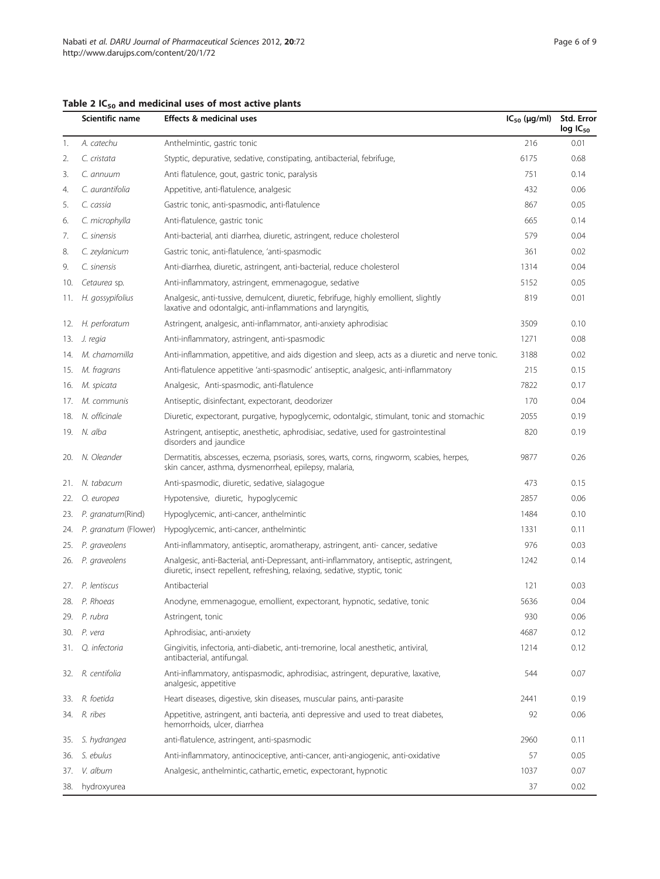|     | Scientific name      | <b>Effects &amp; medicinal uses</b>                                                                                                                                  | $IC_{50}$ (µg/ml) | Std. Error<br>$log$ IC <sub>50</sub> |
|-----|----------------------|----------------------------------------------------------------------------------------------------------------------------------------------------------------------|-------------------|--------------------------------------|
| 1.  | A. catechu           | Anthelmintic, gastric tonic                                                                                                                                          | 216               | 0.01                                 |
| 2.  | C. cristata          | Styptic, depurative, sedative, constipating, antibacterial, febrifuge,                                                                                               | 6175              | 0.68                                 |
| 3.  | C. annuum            | Anti flatulence, gout, gastric tonic, paralysis                                                                                                                      | 751               | 0.14                                 |
| 4.  | C. aurantifolia      | Appetitive, anti-flatulence, analgesic                                                                                                                               | 432               | 0.06                                 |
| 5.  | C. cassia            | Gastric tonic, anti-spasmodic, anti-flatulence                                                                                                                       | 867               | 0.05                                 |
| 6.  | C. microphylla       | Anti-flatulence, gastric tonic                                                                                                                                       | 665               | 0.14                                 |
| 7.  | C. sinensis          | Anti-bacterial, anti diarrhea, diuretic, astringent, reduce cholesterol                                                                                              | 579               | 0.04                                 |
| 8.  | C. zeylanicum        | Gastric tonic, anti-flatulence, 'anti-spasmodic                                                                                                                      | 361               | 0.02                                 |
| 9.  | C. sinensis          | Anti-diarrhea, diuretic, astringent, anti-bacterial, reduce cholesterol                                                                                              | 1314              | 0.04                                 |
| 10. | Cetaurea sp.         | Anti-inflammatory, astringent, emmenagogue, sedative                                                                                                                 | 5152              | 0.05                                 |
| 11. | H. gossypifolius     | Analgesic, anti-tussive, demulcent, diuretic, febrifuge, highly emollient, slightly<br>laxative and odontalgic, anti-inflammations and laryngitis,                   | 819               | 0.01                                 |
| 12. | H. perforatum        | Astringent, analgesic, anti-inflammator, anti-anxiety aphrodisiac                                                                                                    | 3509              | 0.10                                 |
| 13. | J. regia             | Anti-inflammatory, astringent, anti-spasmodic                                                                                                                        | 1271              | 0.08                                 |
|     | 14. M. chamomilla    | Anti-inflammation, appetitive, and aids digestion and sleep, acts as a diuretic and nerve tonic.                                                                     | 3188              | 0.02                                 |
| 15. | M. fragrans          | Anti-flatulence appetitive 'anti-spasmodic' antiseptic, analgesic, anti-inflammatory                                                                                 | 215               | 0.15                                 |
| 16. | M. spicata           | Analgesic, Anti-spasmodic, anti-flatulence                                                                                                                           | 7822              | 0.17                                 |
| 17. | M. communis          | Antiseptic, disinfectant, expectorant, deodorizer                                                                                                                    | 170               | 0.04                                 |
| 18. | N. officinale        | Diuretic, expectorant, purgative, hypoglycemic, odontalgic, stimulant, tonic and stomachic                                                                           | 2055              | 0.19                                 |
|     | 19. N. alba          | Astringent, antiseptic, anesthetic, aphrodisiac, sedative, used for gastrointestinal<br>disorders and jaundice                                                       | 820               | 0.19                                 |
| 20. | N. Oleander          | Dermatitis, abscesses, eczema, psoriasis, sores, warts, corns, ringworm, scabies, herpes,<br>skin cancer, asthma, dysmenorrheal, epilepsy, malaria,                  | 9877              | 0.26                                 |
| 21. | N. tabacum           | Anti-spasmodic, diuretic, sedative, sialagogue                                                                                                                       | 473               | 0.15                                 |
| 22. | O. europea           | Hypotensive, diuretic, hypoglycemic                                                                                                                                  | 2857              | 0.06                                 |
| 23. | P. granatum(Rind)    | Hypoglycemic, anti-cancer, anthelmintic                                                                                                                              | 1484              | 0.10                                 |
| 24. | P. granatum (Flower) | Hypoglycemic, anti-cancer, anthelmintic                                                                                                                              | 1331              | 0.11                                 |
| 25. | P. graveolens        | Anti-inflammatory, antiseptic, aromatherapy, astringent, anti- cancer, sedative                                                                                      | 976               | 0.03                                 |
| 26. | P. graveolens        | Analgesic, anti-Bacterial, anti-Depressant, anti-inflammatory, antiseptic, astringent,<br>diuretic, insect repellent, refreshing, relaxing, sedative, styptic, tonic | 1242              | 0.14                                 |
| 27. | P. lentiscus         | Antibacterial                                                                                                                                                        | 121               | 0.03                                 |
|     | 28. P. Rhoeas        | Anodyne, emmenagogue, emollient, expectorant, hypnotic, sedative, tonic                                                                                              | 5636              | 0.04                                 |
|     | 29. P. rubra         | Astringent, tonic                                                                                                                                                    | 930               | 0.06                                 |
| 30. | P. vera              | Aphrodisiac, anti-anxiety                                                                                                                                            | 4687              | 0.12                                 |
| 31. | Q. infectoria        | Gingivitis, infectoria, anti-diabetic, anti-tremorine, local anesthetic, antiviral,<br>antibacterial, antifungal.                                                    | 1214              | 0.12                                 |
| 32. | R. centifolia        | Anti-inflammatory, antispasmodic, aphrodisiac, astringent, depurative, laxative,<br>analgesic, appetitive                                                            | 544               | 0.07                                 |
| 33. | R. foetida           | Heart diseases, digestive, skin diseases, muscular pains, anti-parasite                                                                                              | 2441              | 0.19                                 |
| 34. | R. ribes             | Appetitive, astringent, anti bacteria, anti depressive and used to treat diabetes,<br>hemorrhoids, ulcer, diarrhea                                                   | 92                | 0.06                                 |
| 35. | S. hydrangea         | anti-flatulence, astringent, anti-spasmodic                                                                                                                          | 2960              | 0.11                                 |
| 36. | S. ebulus            | Anti-inflammatory, antinociceptive, anti-cancer, anti-angiogenic, anti-oxidative                                                                                     | 57                | 0.05                                 |
| 37. | V. album             | Analgesic, anthelmintic, cathartic, emetic, expectorant, hypnotic                                                                                                    | 1037              | 0.07                                 |
|     | 38. hydroxyurea      |                                                                                                                                                                      | 37                | 0.02                                 |

# <span id="page-5-0"></span>Table 2  $IC_{50}$  and medicinal uses of most active plants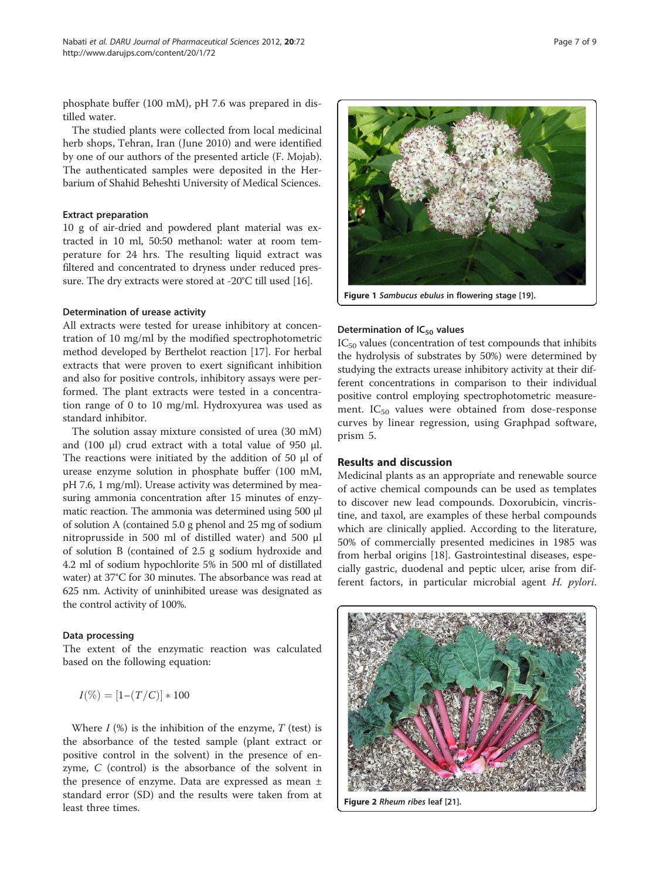<span id="page-6-0"></span>phosphate buffer (100 mM), pH 7.6 was prepared in distilled water.

The studied plants were collected from local medicinal herb shops, Tehran, Iran (June 2010) and were identified by one of our authors of the presented article (F. Mojab). The authenticated samples were deposited in the Herbarium of Shahid Beheshti University of Medical Sciences.

### Extract preparation

10 g of air-dried and powdered plant material was extracted in 10 ml, 50:50 methanol: water at room temperature for 24 hrs. The resulting liquid extract was filtered and concentrated to dryness under reduced pressure. The dry extracts were stored at -20°C till used [\[16](#page-8-0)].

#### Determination of urease activity

All extracts were tested for urease inhibitory at concentration of 10 mg/ml by the modified spectrophotometric method developed by Berthelot reaction [\[17](#page-8-0)]. For herbal extracts that were proven to exert significant inhibition and also for positive controls, inhibitory assays were performed. The plant extracts were tested in a concentration range of 0 to 10 mg/ml. Hydroxyurea was used as standard inhibitor.

The solution assay mixture consisted of urea (30 mM) and (100 μl) crud extract with a total value of 950 μl. The reactions were initiated by the addition of 50 μl of urease enzyme solution in phosphate buffer (100 mM, pH 7.6, 1 mg/ml). Urease activity was determined by measuring ammonia concentration after 15 minutes of enzymatic reaction. The ammonia was determined using 500 μl of solution A (contained 5.0 g phenol and 25 mg of sodium nitroprusside in 500 ml of distilled water) and 500 μl of solution B (contained of 2.5 g sodium hydroxide and 4.2 ml of sodium hypochlorite 5% in 500 ml of distillated water) at 37°C for 30 minutes. The absorbance was read at 625 nm. Activity of uninhibited urease was designated as the control activity of 100%.

### Data processing

The extent of the enzymatic reaction was calculated based on the following equation:

$$
I(\%) = [1 - (T/C)] * 100
$$

Where  $I$  (%) is the inhibition of the enzyme,  $T$  (test) is the absorbance of the tested sample (plant extract or positive control in the solvent) in the presence of enzyme, C (control) is the absorbance of the solvent in the presence of enzyme. Data are expressed as mean ± standard error (SD) and the results were taken from at least three times.



## Determination of  $IC_{50}$  values

IC<sub>50</sub> values (concentration of test compounds that inhibits the hydrolysis of substrates by 50%) were determined by studying the extracts urease inhibitory activity at their different concentrations in comparison to their individual positive control employing spectrophotometric measurement.  $IC_{50}$  values were obtained from dose-response curves by linear regression, using Graphpad software, prism 5.

## Results and discussion

Medicinal plants as an appropriate and renewable source of active chemical compounds can be used as templates to discover new lead compounds. Doxorubicin, vincristine, and taxol, are examples of these herbal compounds which are clinically applied. According to the literature, 50% of commercially presented medicines in 1985 was from herbal origins [[18](#page-8-0)]. Gastrointestinal diseases, especially gastric, duodenal and peptic ulcer, arise from different factors, in particular microbial agent H. pylori.



Figure 2 Rheum ribes leaf [[21](#page-8-0)].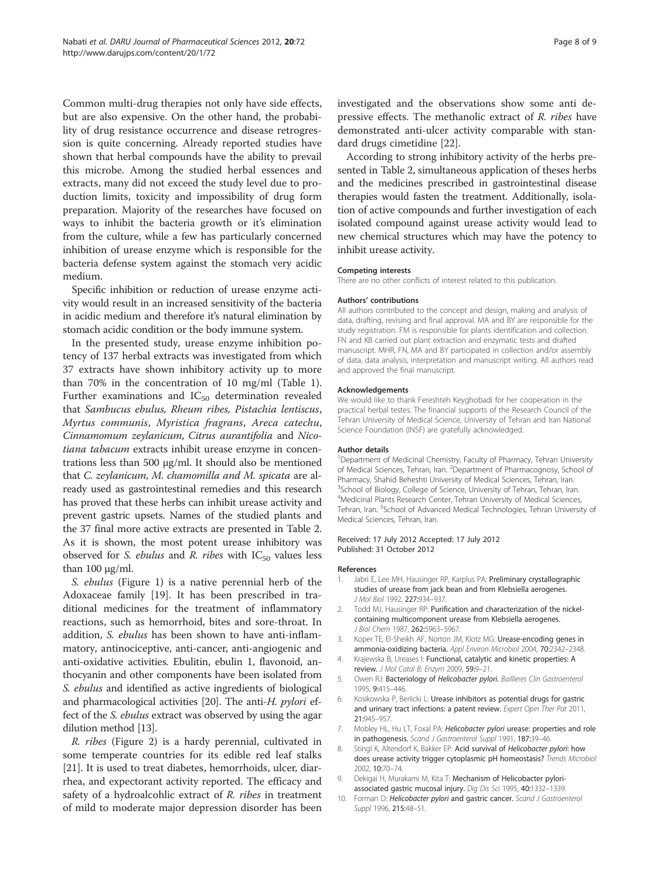<span id="page-7-0"></span>Common multi-drug therapies not only have side effects, but are also expensive. On the other hand, the probability of drug resistance occurrence and disease retrogression is quite concerning. Already reported studies have shown that herbal compounds have the ability to prevail this microbe. Among the studied herbal essences and extracts, many did not exceed the study level due to production limits, toxicity and impossibility of drug form preparation. Majority of the researches have focused on ways to inhibit the bacteria growth or it's elimination from the culture, while a few has particularly concerned inhibition of urease enzyme which is responsible for the bacteria defense system against the stomach very acidic medium.

Specific inhibition or reduction of urease enzyme activity would result in an increased sensitivity of the bacteria in acidic medium and therefore it's natural elimination by stomach acidic condition or the body immune system.

In the presented study, urease enzyme inhibition potency of 137 herbal extracts was investigated from which 37 extracts have shown inhibitory activity up to more than 70% in the concentration of 10 mg/ml (Table [1](#page-1-0)). Further examinations and  $IC_{50}$  determination revealed that Sambucus ebulus, Rheum ribes, Pistachia lentiscus, Myrtus communis, Myristica fragrans, Areca catechu, Cinnamomum zeylanicum, Citrus aurantifolia and Nicotiana tabacum extracts inhibit urease enzyme in concentrations less than 500 μg/ml. It should also be mentioned that C. zeylanicum, M. chamomilla and M. spicata are already used as gastrointestinal remedies and this research has proved that these herbs can inhibit urease activity and prevent gastric upsets. Names of the studied plants and the 37 final more active extracts are presented in Table [2](#page-5-0). As it is shown, the most potent urease inhibitory was observed for S. *ebulus* and R. *ribes* with  $IC_{50}$  values less than  $100 \mu g/ml$ .

S. ebulus (Figure [1\)](#page-6-0) is a native perennial herb of the Adoxaceae family [\[19](#page-8-0)]. It has been prescribed in traditional medicines for the treatment of inflammatory reactions, such as hemorrhoid, bites and sore-throat. In addition, *S. ebulus* has been shown to have anti-inflammatory, antinociceptive, anti-cancer, anti-angiogenic and anti-oxidative activities. Ebulitin, ebulin 1, flavonoid, anthocyanin and other components have been isolated from S. ebulus and identified as active ingredients of biological and pharmacological activities [\[20\]](#page-8-0). The anti-H. *pylori* effect of the S. ebulus extract was observed by using the agar dilution method [\[13\]](#page-8-0).

R. ribes (Figure [2](#page-6-0)) is a hardy perennial, cultivated in some temperate countries for its edible red leaf stalks [[21\]](#page-8-0). It is used to treat diabetes, hemorrhoids, ulcer, diarrhea, and expectorant activity reported. The efficacy and safety of a hydroalcohlic extract of R. ribes in treatment of mild to moderate major depression disorder has been investigated and the observations show some anti depressive effects. The methanolic extract of R. ribes have demonstrated anti-ulcer activity comparable with standard drugs cimetidine [[22\]](#page-8-0).

According to strong inhibitory activity of the herbs presented in Table [2,](#page-5-0) simultaneous application of theses herbs and the medicines prescribed in gastrointestinal disease therapies would fasten the treatment. Additionally, isolation of active compounds and further investigation of each isolated compound against urease activity would lead to new chemical structures which may have the potency to inhibit urease activity.

## Competing interests

There are no other conflicts of interest related to this publication.

#### Authors' contributions

All authors contributed to the concept and design, making and analysis of data, drafting, revising and final approval. MA and BY are responsible for the study registration. FM is responsible for plants identification and collection. FN and KB carried out plant extraction and enzymatic tests and drafted manuscript. MHR, FN, MA and BY participated in collection and/or assembly of data, data analysis, interpretation and manuscript writing. All authors read and approved the final manuscript.

#### Acknowledgements

We would like to thank Fereshteh Keyghobadi for her cooperation in the practical herbal testes. The financial supports of the Research Council of the Tehran University of Medical Science, University of Tehran and Iran National Science Foundation (INSF) are gratefully acknowledged.

#### Author details

<sup>1</sup>Department of Medicinal Chemistry, Faculty of Pharmacy, Tehran University of Medical Sciences, Tehran, Iran. <sup>2</sup>Department of Pharmacognosy, School of Pharmacy, Shahid Beheshti University of Medical Sciences, Tehran, Iran. <sup>3</sup>School of Biology, College of Science, University of Tehran, Tehran, Iran. 4 Medicinal Plants Research Center, Tehran University of Medical Sciences, Tehran, Iran. <sup>5</sup>School of Advanced Medical Technologies, Tehran University of Medical Sciences, Tehran, Iran.

#### Received: 17 July 2012 Accepted: 17 July 2012 Published: 31 October 2012

#### References

- 1. Jabri E, Lee MH, Hausinger RP, Karplus PA: Preliminary crystallographic studies of urease from jack bean and from Klebsiella aerogenes. J Mol Biol 1992, 227:934–937.
- 2. Todd MJ, Hausinger RP: Purification and characterization of the nickelcontaining multicomponent urease from Klebsiella aerogenes. J Biol Chem 1987, 262:5963–5967.
- 3. Koper TE, El-Sheikh AF, Norton JM, Klotz MG: Urease-encoding genes in ammonia-oxidizing bacteria. Appl Environ Microbiol 2004, 70:2342–2348.
- 4. Krajewska B, Ureases I: Functional, catalytic and kinetic properties: A review. J Mol Catal B: Enzym 2009, 59:9–21.
- 5. Owen RJ: Bacteriology of Helicobacter pylori. Baillieres Clin Gastroenterol 1995, 9:415–446.
- 6. Kosikowska P, Berlicki L: Urease inhibitors as potential drugs for gastric and urinary tract infections: a patent review. Expert Opin Ther Pat 2011, 21:945–957.
- 7. Mobley HL, Hu LT, Foxal PA: Helicobacter pylori urease: properties and role in pathogenesis. Scand J Gastroenterol Suppl 1991, 187:39-46.
- 8. Stingl K, Altendorf K, Bakker EP: Acid survival of Helicobacter pylori: how does urease activity trigger cytoplasmic pH homeostasis? Trends Microbiol 2002, 10:70–74.
- 9. Dekigai H, Murakami M, Kita T: Mechanism of Helicobacter pyloriassociated gastric mucosal injury. Dig Dis Sci 1995, 40:1332–1339.
- 10. Forman D: Helicobacter pylori and gastric cancer. Scand J Gastroenterol Suppl 1996, 215:48–51.